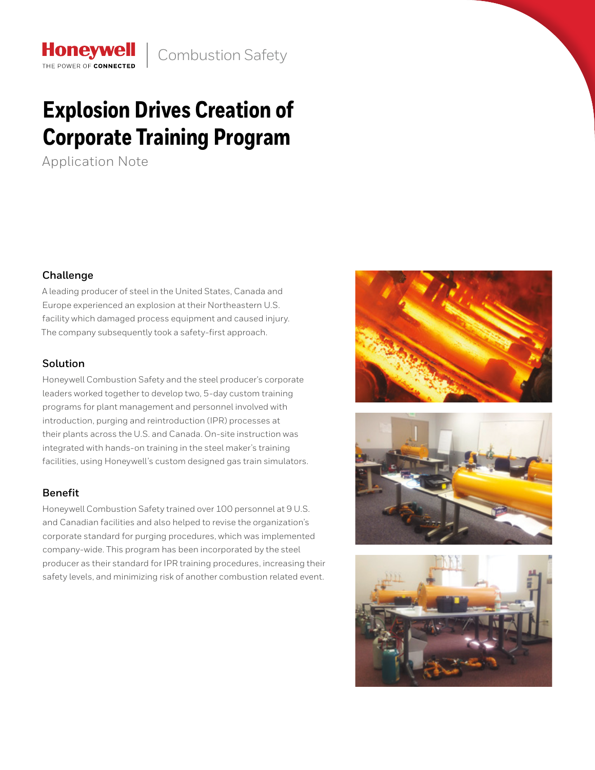# **Explosion Drives Creation of Corporate Training Program**

Application Note

**Honeywell** THE POWER OF CONNECTED

# **Challenge**

A leading producer of steel in the United States, Canada and Europe experienced an explosion at their Northeastern U.S. facility which damaged process equipment and caused injury. The company subsequently took a safety-first approach.

# **Solution**

Honeywell Combustion Safety and the steel producer's corporate leaders worked together to develop two, 5-day custom training programs for plant management and personnel involved with introduction, purging and reintroduction (IPR) processes at their plants across the U.S. and Canada. On-site instruction was integrated with hands-on training in the steel maker's training facilities, using Honeywell's custom designed gas train simulators.

# **Benefit**

Honeywell Combustion Safety trained over 100 personnel at 9 U.S. and Canadian facilities and also helped to revise the organization's corporate standard for purging procedures, which was implemented company-wide. This program has been incorporated by the steel producer as their standard for IPR training procedures, increasing their safety levels, and minimizing risk of another combustion related event.